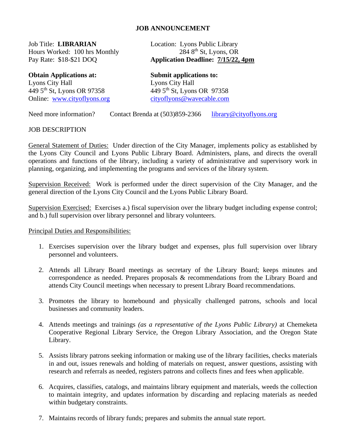## **JOB ANNOUNCEMENT**

Job Title: **LIBRARIAN** Location: Lyons Public Library<br>Hours Worked: 100 hrs Monthly 284 8<sup>th</sup> St, Lyons, OR Hours Worked: 100 hrs Monthly

**Obtain Applications at: Submit applications to:** Lyons City Hall<br>
449 5<sup>th</sup> St, Lyons OR 97358<br>
449 5<sup>th</sup> St, Lyons OR 97358  $449\,5$ <sup>th</sup> St, Lyons OR 97358 Online: [www.cityoflyons.org](http://www.cityoflyons.org/) [cityoflyons@wavecable.com](mailto:cityoflyons@wavecable.com)

Pay Rate: \$18-\$21 DOQ **Application Deadline: 7/15/22, 4pm**

Need more information? Contact Brenda at (503)859-2366 [library@cityoflyons.org](mailto:library@cityoflyons.org)

## JOB DESCRIPTION

General Statement of Duties: Under direction of the City Manager, implements policy as established by the Lyons City Council and Lyons Public Library Board. Administers, plans, and directs the overall operations and functions of the library, including a variety of administrative and supervisory work in planning, organizing, and implementing the programs and services of the library system.

Supervision Received: Work is performed under the direct supervision of the City Manager, and the general direction of the Lyons City Council and the Lyons Public Library Board.

Supervision Exercised: Exercises a.) fiscal supervision over the library budget including expense control; and b.) full supervision over library personnel and library volunteers.

## Principal Duties and Responsibilities:

- 1. Exercises supervision over the library budget and expenses, plus full supervision over library personnel and volunteers.
- 2. Attends all Library Board meetings as secretary of the Library Board; keeps minutes and correspondence as needed. Prepares proposals & recommendations from the Library Board and attends City Council meetings when necessary to present Library Board recommendations.
- 3. Promotes the library to homebound and physically challenged patrons, schools and local businesses and community leaders.
- 4. Attends meetings and trainings *(as a representative of the Lyons Public Library)* at Chemeketa Cooperative Regional Library Service, the Oregon Library Association, and the Oregon State Library.
- 5. Assists library patrons seeking information or making use of the library facilities, checks materials in and out, issues renewals and holding of materials on request, answer questions, assisting with research and referrals as needed, registers patrons and collects fines and fees when applicable.
- 6. Acquires, classifies, catalogs, and maintains library equipment and materials, weeds the collection to maintain integrity, and updates information by discarding and replacing materials as needed within budgetary constraints.
- 7. Maintains records of library funds; prepares and submits the annual state report.